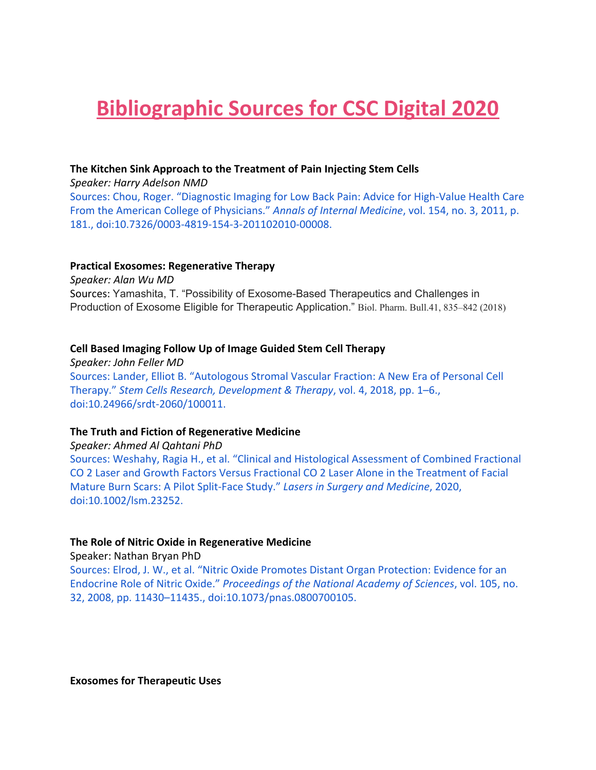# **Bibliographic Sources for CSC Digital 2020**

#### **The Kitchen Sink Approach to the Treatment of Pain Injecting Stem Cells**

*Speaker: Harry Adelson NMD* Sources: Chou, Roger. "Diagnostic Imaging for Low Back Pain: Advice for High-Value Health Care From the American College of Physicians." *Annals of Internal Medicine*, vol. 154, no. 3, 2011, p. 181., doi:10.7326/0003-4819-154-3-201102010-00008.

#### **Practical Exosomes: Regenerative Therapy**

*Speaker: Alan Wu MD* Sources: Yamashita, T. "Possibility of Exosome-Based Therapeutics and Challenges in Production of Exosome Eligible for Therapeutic Application." Biol. Pharm. Bull.41, 835–842 (2018)

#### **Cell Based Imaging Follow Up of Image Guided Stem Cell Therapy**

*Speaker: John Feller MD* Sources: Lander, Elliot B. "Autologous Stromal Vascular Fraction: A New Era of Personal Cell Therapy." *Stem Cells Research, Development & Therapy*, vol. 4, 2018, pp. 1–6., doi:10.24966/srdt-2060/100011.

#### **The Truth and Fiction of Regenerative Medicine**

*Speaker: Ahmed Al Qahtani PhD*

Sources: Weshahy, Ragia H., et al. "Clinical and Histological Assessment of Combined Fractional CO 2 Laser and Growth Factors Versus Fractional CO 2 Laser Alone in the Treatment of Facial Mature Burn Scars: A Pilot Split-Face Study." *Lasers in Surgery and Medicine*, 2020, doi:10.1002/lsm.23252.

# **The Role of Nitric Oxide in Regenerative Medicine**

Speaker: Nathan Bryan PhD

Sources: Elrod, J. W., et al. "Nitric Oxide Promotes Distant Organ Protection: Evidence for an Endocrine Role of Nitric Oxide." *Proceedings of the National Academy of Sciences*, vol. 105, no. 32, 2008, pp. 11430–11435., doi:10.1073/pnas.0800700105.

**Exosomes for Therapeutic Uses**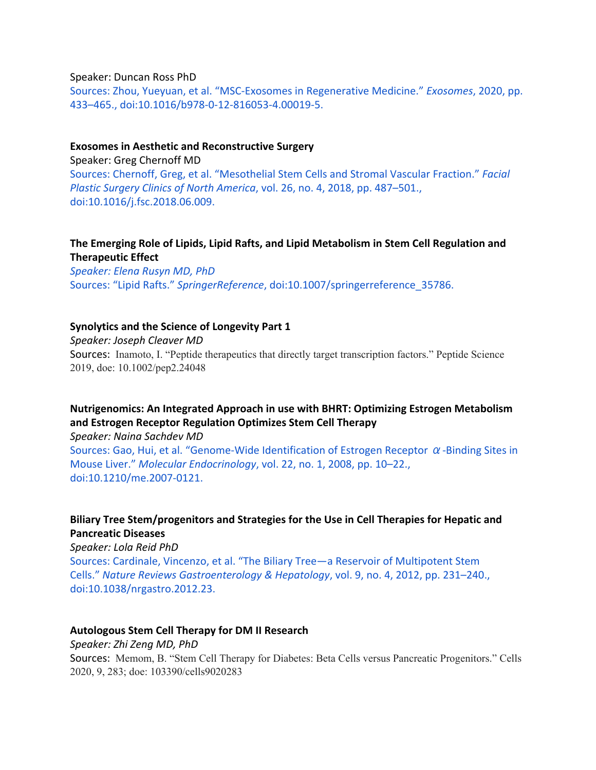Speaker: Duncan Ross PhD

Sources: Zhou, Yueyuan, et al. "MSC-Exosomes in Regenerative Medicine." *Exosomes*, 2020, pp. 433–465., doi:10.1016/b978-0-12-816053-4.00019-5.

#### **Exosomes in Aesthetic and Reconstructive Surgery**

Speaker: Greg Chernoff MD Sources: Chernoff, Greg, et al. "Mesothelial Stem Cells and Stromal Vascular Fraction." *Facial Plastic Surgery Clinics of North America*, vol. 26, no. 4, 2018, pp. 487–501., doi:10.1016/j.fsc.2018.06.009.

# **The Emerging Role of Lipids, Lipid Rafts, and Lipid Metabolism in Stem Cell Regulation and Therapeutic Effect**

*Speaker: Elena Rusyn MD, PhD* Sources: "Lipid Rafts." *SpringerReference*, doi:10.1007/springerreference\_35786.

#### **Synolytics and the Science of Longevity Part 1**

*Speaker: Joseph Cleaver MD*

Sources: Inamoto, I. "Peptide therapeutics that directly target transcription factors." Peptide Science 2019, doe: 10.1002/pep2.24048

# **Nutrigenomics: An Integrated Approach in use with BHRT: Optimizing Estrogen Metabolism and Estrogen Receptor Regulation Optimizes Stem Cell Therapy**

*Speaker: Naina Sachdev MD*

Sources: Gao, Hui, et al. "Genome-Wide Identification of Estrogen Receptor  $\alpha$ -Binding Sites in Mouse Liver." *Molecular Endocrinology*, vol. 22, no. 1, 2008, pp. 10–22., doi:10.1210/me.2007-0121.

# **Biliary Tree Stem/progenitors and Strategies for the Use in Cell Therapies for Hepatic and Pancreatic Diseases**

*Speaker: Lola Reid PhD*

Sources: Cardinale, Vincenzo, et al. "The Biliary Tree—a Reservoir of Multipotent Stem Cells." *Nature Reviews Gastroenterology & Hepatology*, vol. 9, no. 4, 2012, pp. 231–240., doi:10.1038/nrgastro.2012.23.

#### **Autologous Stem Cell Therapy for DM II Research**

*Speaker: Zhi Zeng MD, PhD*

Sources: Memom, B. "Stem Cell Therapy for Diabetes: Beta Cells versus Pancreatic Progenitors." Cells 2020, 9, 283; doe: 103390/cells9020283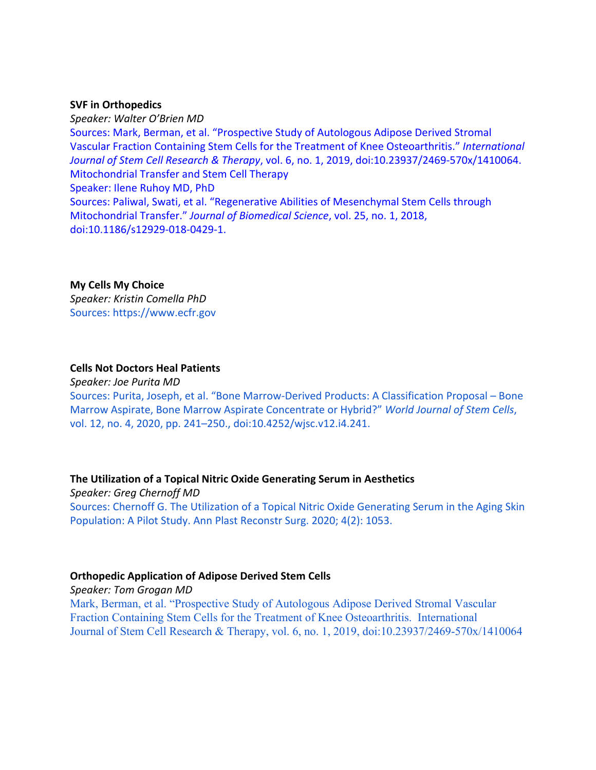#### **SVF in Orthopedics**

*Speaker: Walter O'Brien MD* Sources: Mark, Berman, et al. "Prospective Study of Autologous Adipose Derived Stromal Vascular Fraction Containing Stem Cells for the Treatment of Knee Osteoarthritis." *International Journal of Stem Cell Research & Therapy*, vol. 6, no. 1, 2019, doi:10.23937/2469-570x/1410064. Mitochondrial Transfer and Stem Cell Therapy Speaker: Ilene Ruhoy MD, PhD Sources: Paliwal, Swati, et al. "Regenerative Abilities of Mesenchymal Stem Cells through Mitochondrial Transfer." *Journal of Biomedical Science*, vol. 25, no. 1, 2018, doi:10.1186/s12929-018-0429-1.

#### **My Cells My Choice**

*Speaker: Kristin Comella PhD* Sources: https://www.ecfr.gov

#### **Cells Not Doctors Heal Patients**

*Speaker: Joe Purita MD*

Sources: Purita, Joseph, et al. "Bone Marrow-Derived Products: A Classification Proposal – Bone Marrow Aspirate, Bone Marrow Aspirate Concentrate or Hybrid?" *World Journal of Stem Cells*, vol. 12, no. 4, 2020, pp. 241–250., doi:10.4252/wjsc.v12.i4.241.

#### **The Utilization of a Topical Nitric Oxide Generating Serum in Aesthetics**

*Speaker: Greg Chernoff MD* Sources: Chernoff G. The Utilization of a Topical Nitric Oxide Generating Serum in the Aging Skin Population: A Pilot Study. Ann Plast Reconstr Surg. 2020; 4(2): 1053.

#### **Orthopedic Application of Adipose Derived Stem Cells**

*Speaker: Tom Grogan MD* Mark, Berman, et al. "Prospective Study of Autologous Adipose Derived Stromal Vascular Fraction Containing Stem Cells for the Treatment of Knee Osteoarthritis. International Journal of Stem Cell Research & Therapy, vol. 6, no. 1, 2019, doi:10.23937/2469-570x/1410064